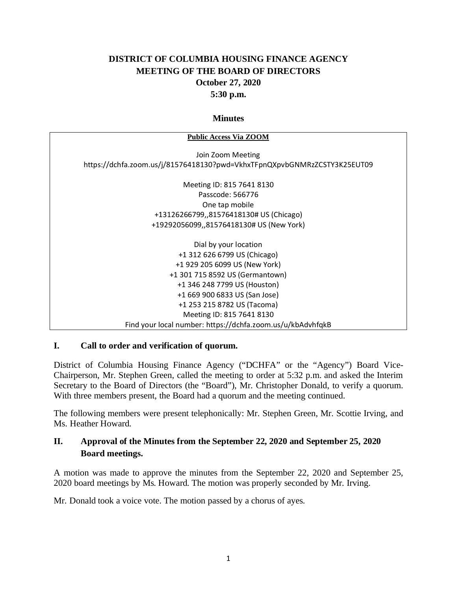# **DISTRICT OF COLUMBIA HOUSING FINANCE AGENCY MEETING OF THE BOARD OF DIRECTORS October 27, 2020 5:30 p.m.**

#### **Minutes**

| <b>Public Access Via ZOOM</b>                                            |
|--------------------------------------------------------------------------|
| Join Zoom Meeting                                                        |
| https://dchfa.zoom.us/j/81576418130?pwd=VkhxTFpnQXpvbGNMRzZCSTY3K25EUT09 |
|                                                                          |
| Meeting ID: 815 7641 8130                                                |
| Passcode: 566776                                                         |
| One tap mobile                                                           |
| +13126266799,,81576418130# US (Chicago)                                  |
| +19292056099,,81576418130# US (New York)                                 |
|                                                                          |
| Dial by your location                                                    |
| +1 312 626 6799 US (Chicago)                                             |
| +1 929 205 6099 US (New York)                                            |
| +1 301 715 8592 US (Germantown)                                          |
| +1 346 248 7799 US (Houston)                                             |
| +1 669 900 6833 US (San Jose)                                            |
| +1 253 215 8782 US (Tacoma)                                              |
| Meeting ID: 815 7641 8130                                                |
| Find your local number: https://dchfa.zoom.us/u/kbAdvhfqkB               |

#### **I. Call to order and verification of quorum.**

District of Columbia Housing Finance Agency ("DCHFA" or the "Agency") Board Vice-Chairperson, Mr. Stephen Green, called the meeting to order at 5:32 p.m. and asked the Interim Secretary to the Board of Directors (the "Board"), Mr. Christopher Donald, to verify a quorum. With three members present, the Board had a quorum and the meeting continued.

The following members were present telephonically: Mr. Stephen Green, Mr. Scottie Irving, and Ms. Heather Howard.

# **II. Approval of the Minutes from the September 22, 2020 and September 25, 2020 Board meetings.**

A motion was made to approve the minutes from the September 22, 2020 and September 25, 2020 board meetings by Ms. Howard. The motion was properly seconded by Mr. Irving.

Mr. Donald took a voice vote. The motion passed by a chorus of ayes.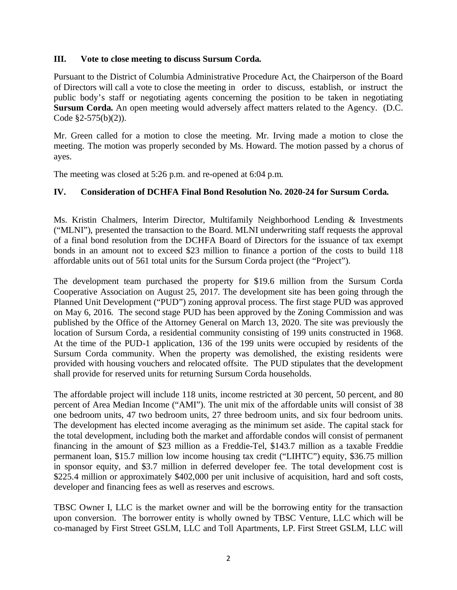### **III. Vote to close meeting to discuss Sursum Corda.**

Pursuant to the District of Columbia Administrative Procedure Act, the Chairperson of the Board of Directors will call a vote to close the meeting in order to discuss, establish, or instruct the public body's staff or negotiating agents concerning the position to be taken in negotiating **Sursum Corda.** An open meeting would adversely affect matters related to the Agency. (D.C. Code §2-575(b)(2)).

Mr. Green called for a motion to close the meeting. Mr. Irving made a motion to close the meeting. The motion was properly seconded by Ms. Howard. The motion passed by a chorus of ayes.

The meeting was closed at 5:26 p.m. and re-opened at 6:04 p.m.

### **IV. Consideration of DCHFA Final Bond Resolution No. 2020-24 for Sursum Corda.**

Ms. Kristin Chalmers, Interim Director, Multifamily Neighborhood Lending & Investments ("MLNI"), presented the transaction to the Board. MLNI underwriting staff requests the approval of a final bond resolution from the DCHFA Board of Directors for the issuance of tax exempt bonds in an amount not to exceed \$23 million to finance a portion of the costs to build 118 affordable units out of 561 total units for the Sursum Corda project (the "Project").

The development team purchased the property for \$19.6 million from the Sursum Corda Cooperative Association on August 25, 2017. The development site has been going through the Planned Unit Development ("PUD") zoning approval process. The first stage PUD was approved on May 6, 2016. The second stage PUD has been approved by the Zoning Commission and was published by the Office of the Attorney General on March 13, 2020. The site was previously the location of Sursum Corda, a residential community consisting of 199 units constructed in 1968. At the time of the PUD-1 application, 136 of the 199 units were occupied by residents of the Sursum Corda community. When the property was demolished, the existing residents were provided with housing vouchers and relocated offsite. The PUD stipulates that the development shall provide for reserved units for returning Sursum Corda households.

The affordable project will include 118 units, income restricted at 30 percent, 50 percent, and 80 percent of Area Median Income ("AMI"). The unit mix of the affordable units will consist of 38 one bedroom units, 47 two bedroom units, 27 three bedroom units, and six four bedroom units. The development has elected income averaging as the minimum set aside. The capital stack for the total development, including both the market and affordable condos will consist of permanent financing in the amount of \$23 million as a Freddie-Tel, \$143.7 million as a taxable Freddie permanent loan, \$15.7 million low income housing tax credit ("LIHTC") equity, \$36.75 million in sponsor equity, and \$3.7 million in deferred developer fee. The total development cost is \$225.4 million or approximately \$402,000 per unit inclusive of acquisition, hard and soft costs, developer and financing fees as well as reserves and escrows.

TBSC Owner I, LLC is the market owner and will be the borrowing entity for the transaction upon conversion. The borrower entity is wholly owned by TBSC Venture, LLC which will be co-managed by First Street GSLM, LLC and Toll Apartments, LP. First Street GSLM, LLC will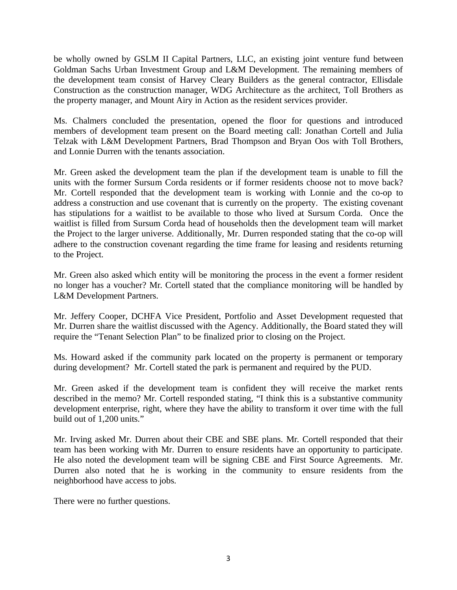be wholly owned by GSLM II Capital Partners, LLC, an existing joint venture fund between Goldman Sachs Urban Investment Group and L&M Development. The remaining members of the development team consist of Harvey Cleary Builders as the general contractor, Ellisdale Construction as the construction manager, WDG Architecture as the architect, Toll Brothers as the property manager, and Mount Airy in Action as the resident services provider.

Ms. Chalmers concluded the presentation, opened the floor for questions and introduced members of development team present on the Board meeting call: Jonathan Cortell and Julia Telzak with L&M Development Partners, Brad Thompson and Bryan Oos with Toll Brothers, and Lonnie Durren with the tenants association.

Mr. Green asked the development team the plan if the development team is unable to fill the units with the former Sursum Corda residents or if former residents choose not to move back? Mr. Cortell responded that the development team is working with Lonnie and the co-op to address a construction and use covenant that is currently on the property. The existing covenant has stipulations for a waitlist to be available to those who lived at Sursum Corda. Once the waitlist is filled from Sursum Corda head of households then the development team will market the Project to the larger universe. Additionally, Mr. Durren responded stating that the co-op will adhere to the construction covenant regarding the time frame for leasing and residents returning to the Project.

Mr. Green also asked which entity will be monitoring the process in the event a former resident no longer has a voucher? Mr. Cortell stated that the compliance monitoring will be handled by L&M Development Partners.

Mr. Jeffery Cooper, DCHFA Vice President, Portfolio and Asset Development requested that Mr. Durren share the waitlist discussed with the Agency. Additionally, the Board stated they will require the "Tenant Selection Plan" to be finalized prior to closing on the Project.

Ms. Howard asked if the community park located on the property is permanent or temporary during development? Mr. Cortell stated the park is permanent and required by the PUD.

Mr. Green asked if the development team is confident they will receive the market rents described in the memo? Mr. Cortell responded stating, "I think this is a substantive community development enterprise, right, where they have the ability to transform it over time with the full build out of 1,200 units."

Mr. Irving asked Mr. Durren about their CBE and SBE plans. Mr. Cortell responded that their team has been working with Mr. Durren to ensure residents have an opportunity to participate. He also noted the development team will be signing CBE and First Source Agreements. Mr. Durren also noted that he is working in the community to ensure residents from the neighborhood have access to jobs.

There were no further questions.